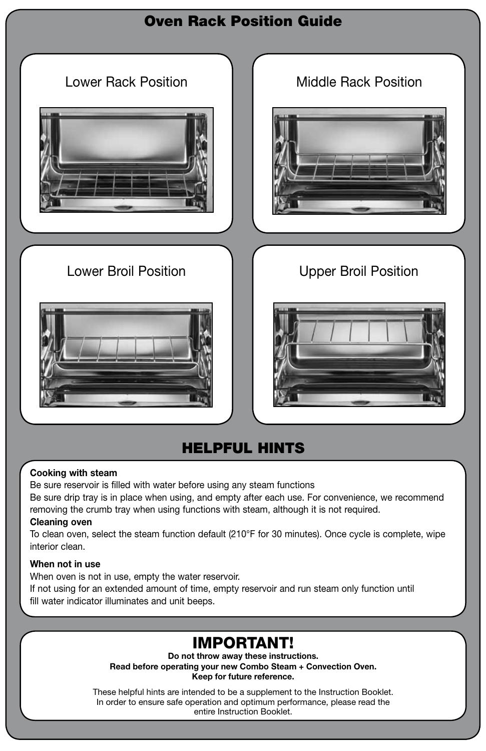

## HELPFUL HINTS

### Cooking with steam

Be sure reservoir is filled with water before using any steam functions Be sure drip tray is in place when using, and empty after each use. For convenience, we recommend removing the crumb tray when using functions with steam, although it is not required.

### Cleaning oven

To clean oven, select the steam function default (210°F for 30 minutes). Once cycle is complete, wipe interior clean.

### When not in use

When oven is not in use, empty the water reservoir.

If not using for an extended amount of time, empty reservoir and run steam only function until fill water indicator illuminates and unit beeps.

# IMPORTANT!

Do not throw away these instructions. Read before operating your new Combo Steam + Convection Oven. Keep for future reference.

These helpful hints are intended to be a supplement to the Instruction Booklet. In order to ensure safe operation and optimum performance, please read the entire Instruction Booklet.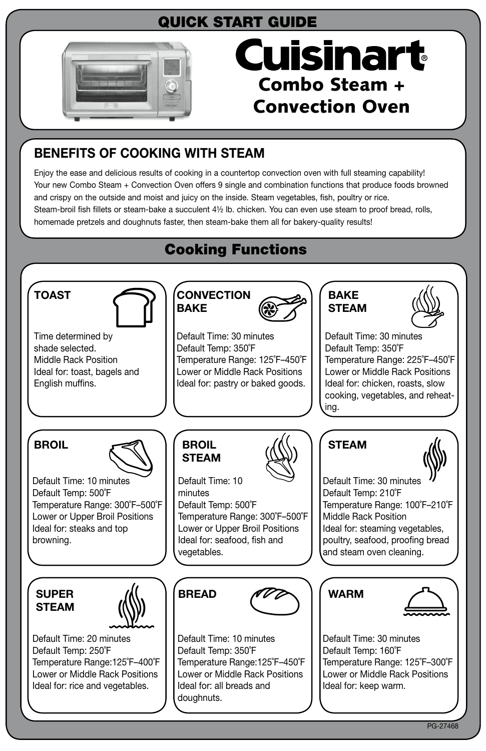# QUICK START GUIDE



# Cuisinart Combo Steam + Convection Oven

## BENEFITS OF COOKING WITH STEAM

Enjoy the ease and delicious results of cooking in a countertop convection oven with full steaming capability! Your new Combo Steam + Convection Oven offers 9 single and combination functions that produce foods browned and crispy on the outside and moist and juicy on the inside. Steam vegetables, fish, poultry or rice. Steam-broil fish fillets or steam-bake a succulent 4½ lb. chicken. You can even use steam to proof bread, rolls, homemade pretzels and doughnuts faster, then steam-bake them all for bakery-quality results!

# Cooking Functions

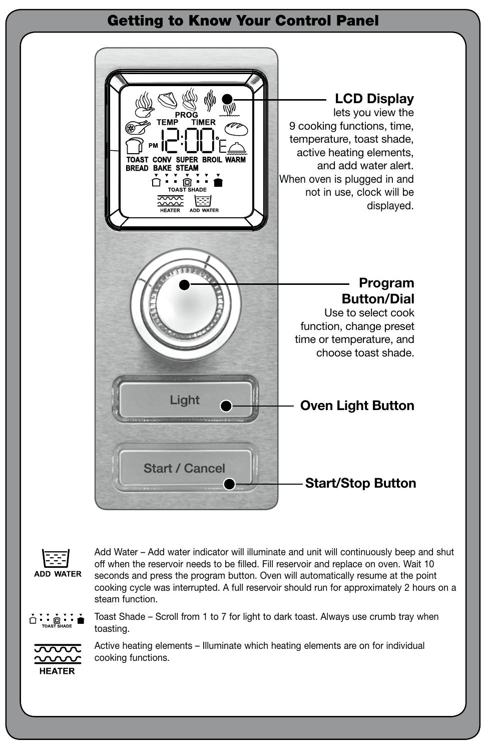### Getting to Know Your Control Panel



Ŧ ADD WATER Add Water – Add water indicator will illuminate and unit will continuously beep and shut off when the reservoir needs to be filled. Fill reservoir and replace on oven. Wait 10 seconds and press the program button. Oven will automatically resume at the point cooking cycle was interrupted. A full reservoir should run for approximately 2 hours on a steam function.

 $\dot{\Omega}$  ,  $\dot{\Xi}$  ,  $\dot{\Xi}$  ,  $\dot{\Xi}$ 

Toast Shade – Scroll from 1 to 7 for light to dark toast. Always use crumb tray when toasting.



Active heating elements – Illuminate which heating elements are on for individual cooking functions.